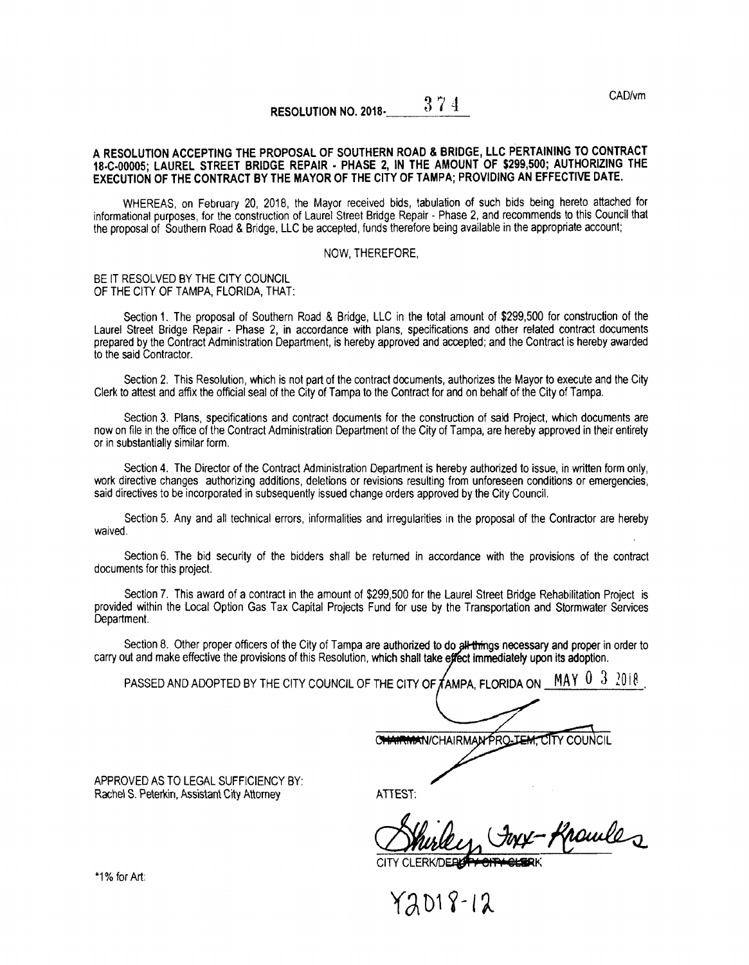#### $3\,7\,4$ RESOLUTION NO. 2018.

## A RESOLUTION ACCEPTING THE PROPOSAL OF SOUTHERN ROAD a BRIDGE, LLC PERTAINING TO CONTRACT 18-C-00005; LAUREL STREET BRIDGE REPAIR - PHASE 2, IN THE AMOUNT OF \$299,500; AUTHORIZING THE EXECUTION OF THE CONTRACT BY THE MAYOR OF THE CITY OF TAMPA; PROVIDING AN EFFECTIVE DATE.

WHEREAS, on February 20, 2018, the Mayor received bids, tabulation of such bids being hereto attached for informational purposes, for the construction of Laurel Street Bridge Repair - Phase 2, and recommends to this Council that the proposal of Southern Road & Bridge, LLC be accepted, funds therefore being available in the appropriate account;

#### NOW, THEREFORE,

#### BE IT RESOLVED BY THE CITY COUNCIL OF THE CITY OF TAMPA, FLORIDA, THAT:

Section 1. The proposal of Southern Road & Bridge, LLC in the total amount of \$299,500 for construction of the Laurel Street Bridge Repair - Phase 2, in accordance with plans, specifications and other related contract documents prepared by the Contract Administration Department, js hereby approved and accepted; and the Contract is hereby awarded to the said Contractor.

Section 2. This Resolution, which is not part of the contract documents, authorizes the Mayor to execute and the City Clerk to attest and affix the official seal of the City of Tampa to the Contract for and on behalf of the City of Tampa.

Section 3. Plans, specifications and contract documents for the construction of said Project, which documents are now on file in the office of the Contract Administration Department of the City of Tampa, are hereby approved in their entirety or in substantially similar form

Section 4. The Director of the Contract Administration Department is hereby authorized to issue, in written form only, work directive changes authorizing additions, deletions or revisions resulting from unforeseen conditions or emergencies, said directives to be incorporated in subsequently issued change orders approved by the City Council.

Section 5. Any and all technical errors, informalities and irregularities in the proposal of the Contractor are hereby waived.

Section 6. The bid security of the bidders shall be returned in accordance with the provisions of the contract documents for this project.

Section 7. This award of a contract in the amount of \$299,500 for the Laurel Street Bridge Rehabilitation Project is provided within the Local Option Gas Tax Capital Projects Fund for use by the Transportation and Stormwater Services Department.

Section 8. Other proper officers of the City of Tampa are authorized to do all-things necessary and proper in order to carry out and make effective the provisions of this Resolution, which shall take effect immediately upon its adoption.

PASSED AND ADOPTED BY THE CITY COUNCIL OF THE CITY OF  $f$ AMPA, FLORIDA ON  $\underline{\hspace{1em} \text{MAX} \hspace{1em} \text{0} \hspace{1em} \text{3} \hspace{1em} \text{2018}}}$ 

C<del>HAIRMA</del>N/CHAIRMAN PRO-<del>JEM.</del> CITY COUNCIL

APPROVED AS TO LEGAL SUFFICIENCY BY: Rachel S. Peterkin, Assistant City Attorney

**ATTEST:** 

my-Krowles

YaD1?-(a

CAD/vm

\*1% for Ail: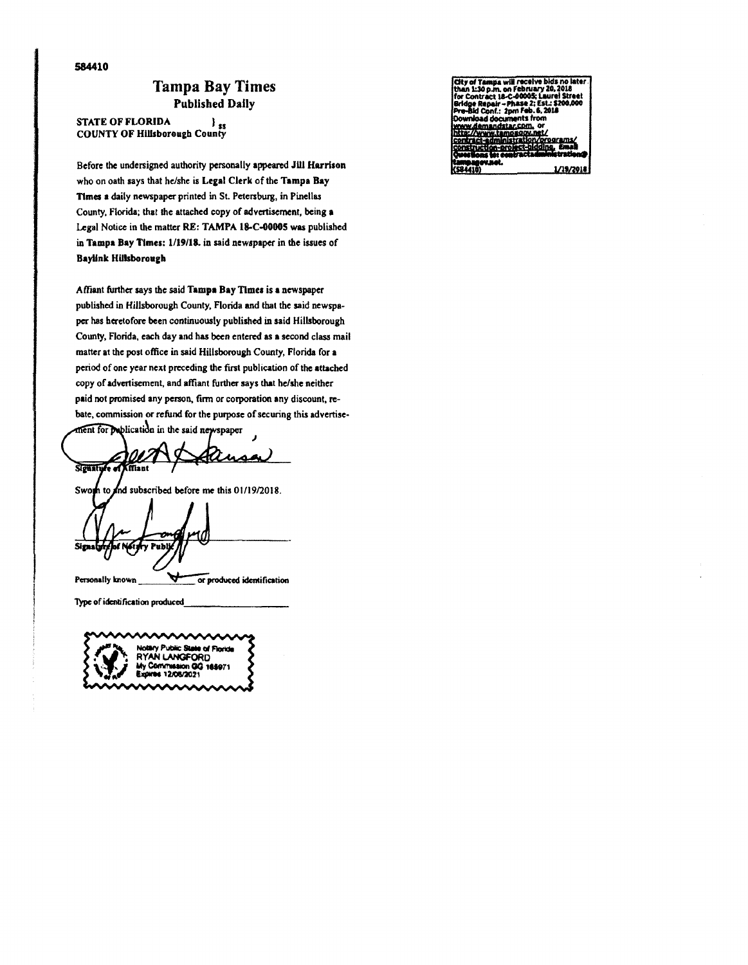584410

## **Tampa Bay Times Published Daily**

STATE OF FLORIDA } ss<br>COUNTY OF Hillsborough County **STATE OF FLORIDA** 

Before the undersigned authority personally appeared Jill Harrison who on oath says that he/she is Legal Clerk of the Tampa Bay Times a daily newspaper printed in St. Petersburg, in Pinellas County, Florida; that the attached copy of advertisement, being a Legal Notice in the matter RE: TAMPA 18-C-00005 was published in Tampa Bay Times: 1/19/18. in said newspaper in the issues of **Baylink Hillsborough** 

Affiant further says the said Tampa Bay Times is a newspaper published in Hillsborough County, Florida and that the said newspaper has heretofore been continuously published in said Hillsborough County, Florida, each day and has been entered as a second class mail matter at the post office in said Hillsborough County, Florida for a period of one year next preceding the first publication of the attached copy of advertisement, and affiant further says that he/she neither paid not promised any person, firm or corporation any discount, rebate, commission or refund for the purpose of securing this advertisement for publication in the said newspaper

C accus Signature of **Mant** 

Swor nd subscribed before me this 01/19/2018. h to

Sign Publi  $\blacktriangleleft$ or produced identification

Personally known

Type of identification produced



City of Tampa will receive bids no later<br>than 1:30 p.m. on February 20, 2018<br>for Contract 18-C-00005; Laurel Street<br>Bridge Repair --Phase 2; Est.: \$200,000<br>Pre-Bid Conf.: 2pm Feb. 6, 2018 e-sig Conr.: zpm res.c.c.<br>www.demandstar.com.org/<br>exv.demandstar.com.org/<br>res./www.tampagov.net/<br>nstruction-project-biddin roorams <u>ana,</u> 584411 1/19/2014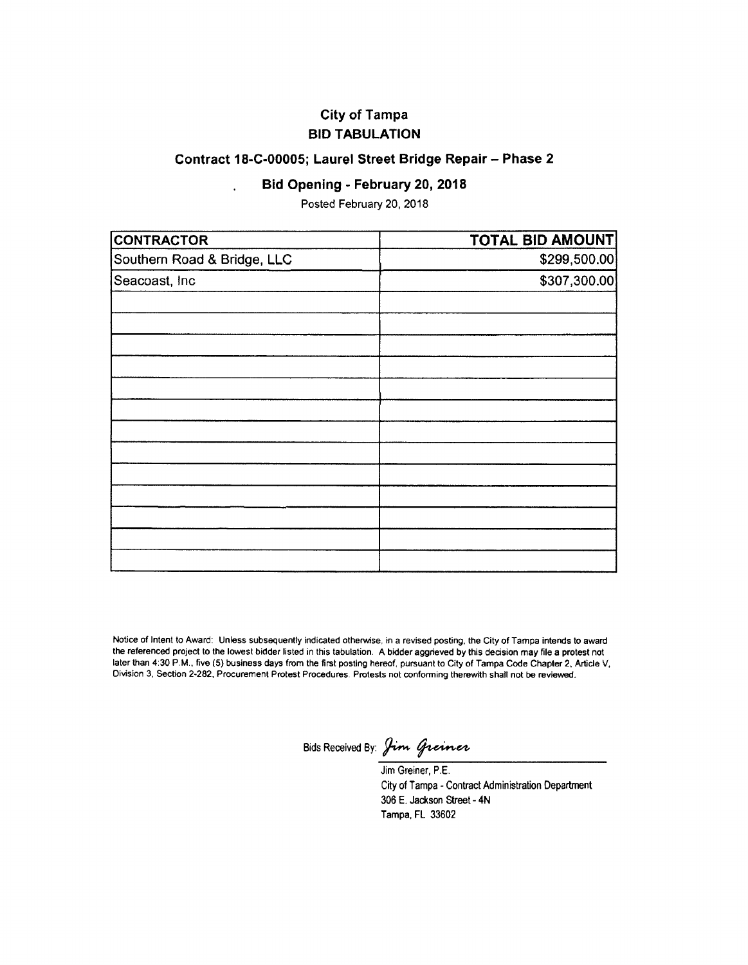# City of Tampa BIB TABULATION

## Contract 18-C-00005; Laurel Street Bridge Repair - Phase 2

## Bid Opening - February 20, 2018

Posted February 20, 2018

| <b>CONTRACTOR</b>           | <b>TOTAL BID AMOUNT</b> |
|-----------------------------|-------------------------|
| Southern Road & Bridge, LLC | \$299,500.00]           |
| Seacoast, Inc.              | \$307,300.00            |
|                             |                         |
|                             |                         |
|                             |                         |
|                             |                         |
|                             |                         |
|                             |                         |
|                             |                         |
|                             |                         |
|                             |                         |
|                             |                         |
|                             |                         |
|                             |                         |
|                             |                         |

Notice of Intent to Award: Unless subsequently indicated othewise, in a revised posting, the City of Tampa intends to award the referenced project to the lowest bidder listed in this tabulation. A bidder aggrieved by this decision may file a protest not later than 4:30 P.M., five (5) business days from the first posting hereof, pursuant to City of Tampa Code Chapter 2, Article V, Division 3, Section 2-282, Procurement Protest Procedures. Protests not conforming therewith shall not be reviewed.

Bids Received By: Jim Greiner

Jim Greiner, P.E. City of Tamps - Contract Administration Deparfnent 306 E. Jackson Street - 4N Tamps, FL 33602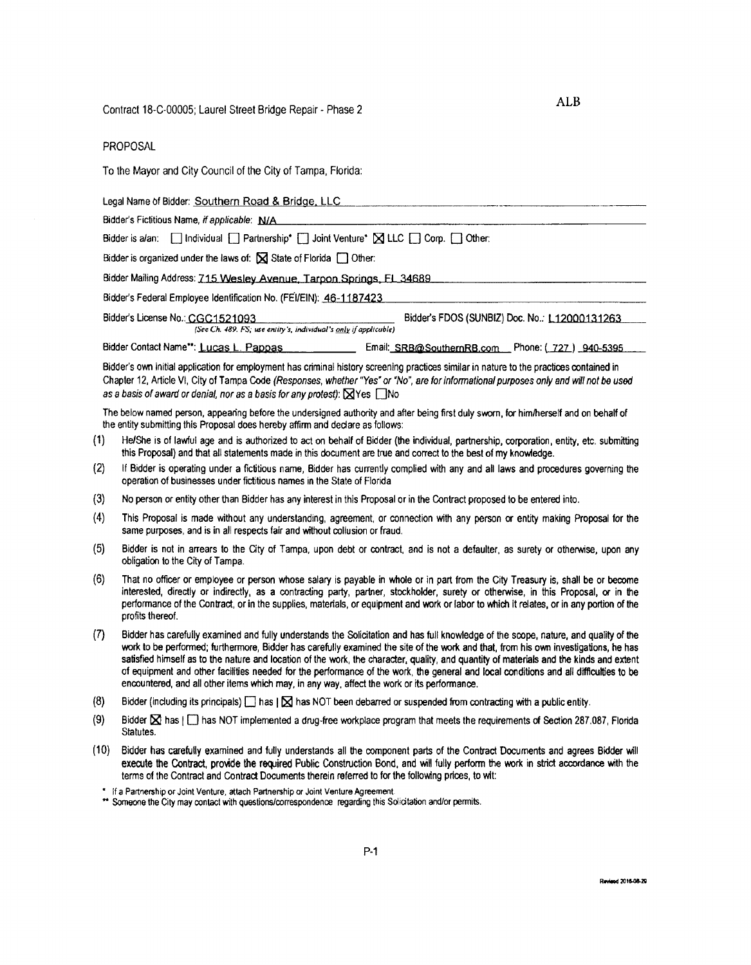To the Mavor and City Council of the City of Tampa, Florida:

Legal Name of Bidder: Southern Road & Bridge, LLC

Bidder's Fictitious Name, if applicable: N/A

Bidder is a/an: | Individual | Partnership\* | Joint Venture\* | JLLC | Corp. | Other:

Bidder is organized under the laws of:  $\boxtimes$  State of Florida  $\Box$  Other:

Bidder Mailing Address: 715 Wesley Avenue, Tarpon Springs, FL 34689

Bidder's Federal Employee Identification No. (FEI/EIN): 46-1187423

Bidder's License No.: CGC1521093

Bidder's FDOS (SUNBIZ) Doc. No.: L12000131263 (See Ch. 489. FS; use entity's, individual's only if applicable)

Bidder Contact Name\*\*: Lucas L. Pappas Email: SRB@SouthernRB.com Phone: (727) 940-5395

Bidder's own initial application for employment has criminal history screening practices similar in nature to the practices contained in Chapter 12, Article VI, City of Tampa Code (Responses, whether "Yes" or "No", are for informational purposes only and will not be used as a basis of award or denial, nor as a basis for any protest):  $\boxtimes$  Yes  $\Box$  No

The below named person, appearing before the undersigned authority and after being first duly sworn, for him/herself and on behalf of the entity submitting this Proposal does hereby affirm and declare as follows:

- $(1)$ He/She is of lawful age and is authorized to act on behalf of Bidder (the individual, partnership, corporation, entity, etc. submitting this Proposal) and that all statements made in this document are true and correct to the best of my knowledge.
- $(2)$ If Bidder is operating under a fictitious name, Bidder has currently complied with any and all laws and procedures governing the operation of businesses under fictitious names in the State of Florida
- No person or entity other than Bidder has any interest in this Proposal or in the Contract proposed to be entered into.  $(3)$
- $(4)$ This Proposal is made without any understanding, agreement, or connection with any person or entity making Proposal for the same purposes, and is in all respects fair and without collusion or fraud.
- $(5)$ Bidder is not in arrears to the City of Tampa, upon debt or contract, and is not a defaulter, as surety or otherwise, upon any obligation to the City of Tampa.
- $(6)$ That no officer or employee or person whose salary is payable in whole or in part from the City Treasury is, shall be or become interested, directly or indirectly, as a contracting party, partner, stockholder, surety or otherwise, in this Proposal, or in the performance of the Contract, or in the supplies, materials, or equipment and work or labor to which it relates, or in any portion of the profits thereof.
- Bidder has carefully examined and fully understands the Solicitation and has full knowledge of the scope, nature, and quality of the  $(7)$ work to be performed; furthermore. Bidder has carefully examined the site of the work and that, from his own investigations, he has satisfied himself as to the nature and location of the work, the character, quality, and quantity of materials and the kinds and extent of equipment and other facilities needed for the performance of the work, the general and local conditions and all difficulties to be encountered, and all other items which may, in any way, affect the work or its performance.
- $(8)$ Bidder (including its principals)  $\Box$  has  $\Box$  has NOT been debarred or suspended from contracting with a public entity.
- $(9)$ Bidder  $\boxtimes$  has  $\Box$  has NOT implemented a drug-free workplace program that meets the requirements of Section 287.087, Florida Statutes.
- $(10)$ Bidder has carefully examined and fully understands all the component parts of the Contract Documents and agrees Bidder will execute the Contract, provide the required Public Construction Bond, and will fully perform the work in strict accordance with the terms of the Contract and Contract Documents therein referred to for the following prices, to wit:

\* If a Partnership or Joint Venture, attach Partnership or Joint Venture Agreement.

\*\* Someone the City may contact with questions/correspondence regarding this Solicitation and/or permits.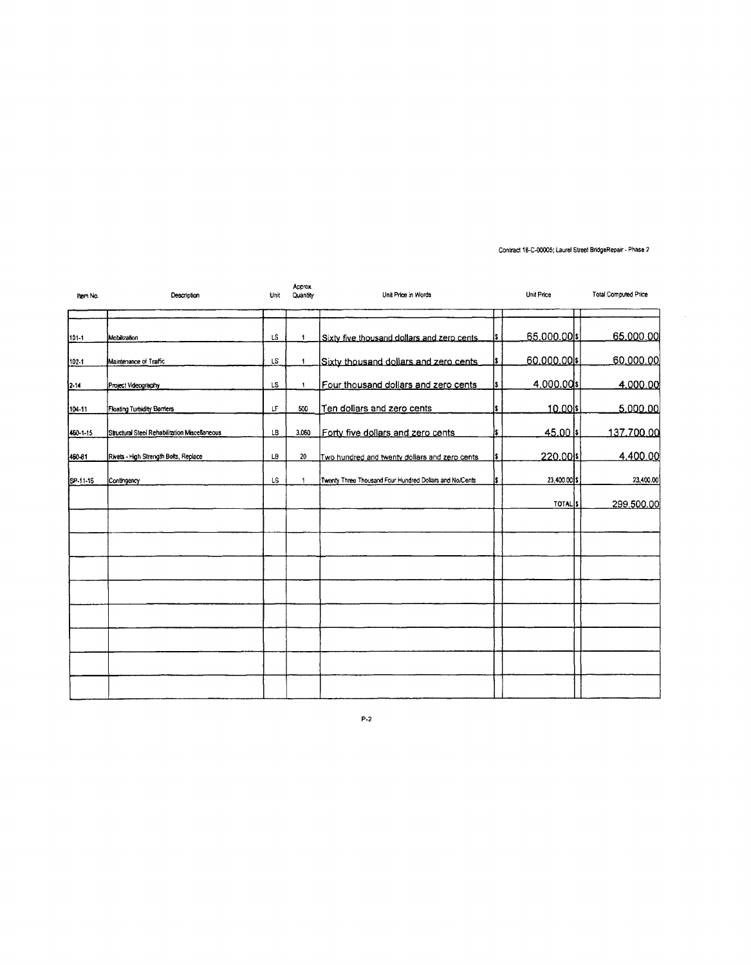#### Contract 18-C-00005; Laurel Street BridgeRepair - Phase 2

| Item No.  | Description                                   | <b>Unit</b> | Approx.<br>Quantity | Unit Price in Words                                     |     | <b>Unit Price</b> | <b>Total Computed Price</b> |
|-----------|-----------------------------------------------|-------------|---------------------|---------------------------------------------------------|-----|-------------------|-----------------------------|
| 101-1     | Mobitzation                                   | LS          | $\mathbf{1}$        | Sixty five thousand dollars and zero cents.             | s   | 65,000.00 \$      | 65,000.00                   |
| $102 - 1$ | Maintenance of Trafic                         | LS          | 1                   | Sixty thousand dollars and zero cents                   | 2   | 60.000.00 \$      | 60,000.00                   |
| $2 - 14$  | Project Videography                           | LS          | 1                   | Four thousand dollars and zero cents                    | Ŝ   | $4,000.00$ s      | 4,000.00                    |
| 104-11    | Floating Turbidity Berriers                   | LF          | 500                 | Ten dollars and zero cents                              | Ś   | 10.00 \$          | 5,000.00                    |
| 460-1-15  | Structural Steel Rehabilitation Miscellaneous | LB          | 3,060               | Forty five dollars and zero cents                       | l\$ | $45.00$ s         | 137.700.00                  |
| 460-81    | Rivets - High Strength Bolts, Replace         | L8          | 20                  | Two hundred and twenty dollars and zero cents           | \$  | 220.00 \$         | 4,400.00                    |
| SP-11-16  | Contingency                                   | LS.         | -1                  | Twenty Three Thousand Four Hundred Dollars and No/Cents |     | 23,400.00 \$      | 23,400.00                   |
|           |                                               |             |                     |                                                         |     | <b>TOTALIS</b>    | 299,500.00                  |
|           |                                               |             |                     |                                                         |     |                   |                             |
|           |                                               |             |                     |                                                         |     |                   |                             |
|           |                                               |             |                     |                                                         |     |                   |                             |
|           |                                               |             |                     |                                                         |     |                   |                             |
|           |                                               |             |                     |                                                         |     |                   |                             |
|           |                                               |             |                     |                                                         |     |                   |                             |
|           |                                               |             |                     |                                                         |     |                   |                             |
|           |                                               |             |                     |                                                         |     |                   |                             |
|           |                                               |             |                     |                                                         |     |                   |                             |

 $P-2$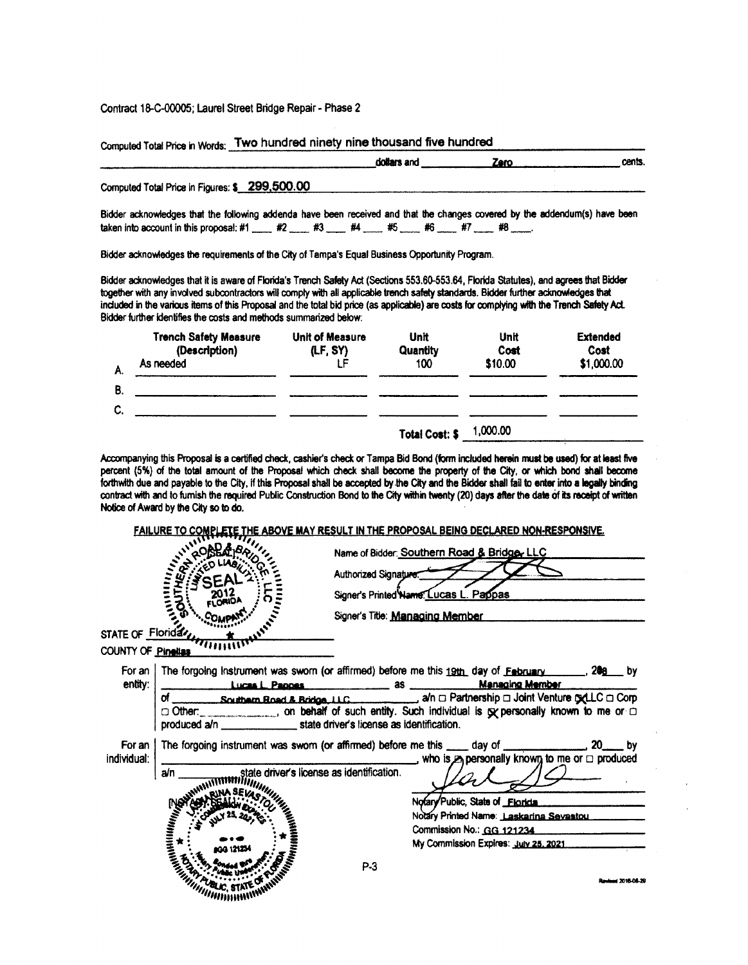#### Contract 18-C-00005; Laurel Street Bridge Repair - Phase 2

| Computed Total Price in Words: Two hundred ninety nine thousand five hundred |             |      |        |  |  |  |
|------------------------------------------------------------------------------|-------------|------|--------|--|--|--|
|                                                                              | dollars and | Zero | cents. |  |  |  |
| Computed Total Price in Figures: \$299,500.00                                |             |      |        |  |  |  |

Bidder acknowledges that the following addenda have been received and that the changes covered by the addendum(s) have been taken into account in this proposal: #1 \_\_\_\_\_ #2 \_\_\_\_\_ #3 \_\_\_\_ #4 \_\_\_\_ #5 \_\_\_\_ #6 \_\_\_\_ #7 \_\_\_\_ #8 \_\_\_\_.

Bidder acknowledges the requirements of the City of Tampa's Equal Business Opportunity Program.

Bidder acknowledges that it is aware of Florida's Trench Safety Act (Sections 553.60-553.64, Florida Statutes), and agrees that Bidder together with any involved subcontractors will comply with all applicable trench safety standards. Bidder further acknowledges that included in the various items of this Proposal and the total bid price (as applicable) are costs for complying with the Trench Safety Act. Bidder further identifies the costs and methods summarized below:

| A. | <b>Trench Safety Measure</b><br>(Description)<br>As needed | <b>Unit of Measure</b><br>(LF, SY) | Unit<br>Quantity<br>100 | Unit<br>Cost<br>\$10.00 | <b>Extended</b><br>Cost<br>\$1,000.00 |
|----|------------------------------------------------------------|------------------------------------|-------------------------|-------------------------|---------------------------------------|
| Β. |                                                            |                                    |                         |                         |                                       |
| C. |                                                            |                                    |                         |                         |                                       |
|    |                                                            |                                    | <b>Total Cost: \$</b>   | 1,000.00                |                                       |

Accompanying this Proposal is a certified check, cashier's check or Tampa Bid Bond (form included herein must be used) for at least five percent (5%) of the total amount of the Proposal which check shall become the property of the City, or which bond shall become forthwith due and payable to the City, if this Proposal shall be accepted by the City and the Bidder shall fail to enter into a legally binding contract with and to furnish the required Public Construction Bond to the City within twenty (20) days after the date of its receipt of written Notice of Award by the City so to do.

|                         |                                                  |                       | <u>FAILURE TO COMPLETE THE ABOVE MAY RESULT IN THE PROPOSAL BEING DECLARED NON-RESPONSIVE.</u>                                                                    |
|-------------------------|--------------------------------------------------|-----------------------|-------------------------------------------------------------------------------------------------------------------------------------------------------------------|
|                         |                                                  |                       | Name of Bidder: Southern Road & Bridge, LLC                                                                                                                       |
|                         |                                                  | Authorized Signature. |                                                                                                                                                                   |
|                         |                                                  |                       | Signer's Printed Name: Lucas L. Pappas                                                                                                                            |
|                         |                                                  |                       | Signer's Title: Managing Member                                                                                                                                   |
|                         | STATE OF Floridate                               |                       |                                                                                                                                                                   |
| COUNTY OF Pinellas      |                                                  |                       |                                                                                                                                                                   |
| entity:                 |                                                  |                       | For an   The forgoing instrument was sworn (or affirmed) before me this $19th$ day of <b>February</b> ____________, 288____ by<br>Lucas L. Pannes Managing Member |
|                         | of                                               |                       | of Southern Boad & Bridge 11C 2010 at Determining C Joint Venture CALC C Corp                                                                                     |
| For an I<br>individual: |                                                  |                       | The forgoing instrument was swom (or affirmed) before me this ____ day of _____________________ 20_____ by<br>who is personally known to me or n produced         |
|                         | state driver's license as identification.<br>a/n |                       |                                                                                                                                                                   |
|                         |                                                  |                       | Notary Public, State of Florida                                                                                                                                   |
|                         |                                                  |                       | Notary Printed Name: Laskarina Sevastou                                                                                                                           |
|                         |                                                  |                       | Commission No.: GG 121234<br>My Commission Expires: July 25, 2021                                                                                                 |
|                         |                                                  |                       |                                                                                                                                                                   |
|                         | <b>REVILLE A REVISER</b>                         | P-3                   |                                                                                                                                                                   |
|                         |                                                  |                       | 12016-08-29                                                                                                                                                       |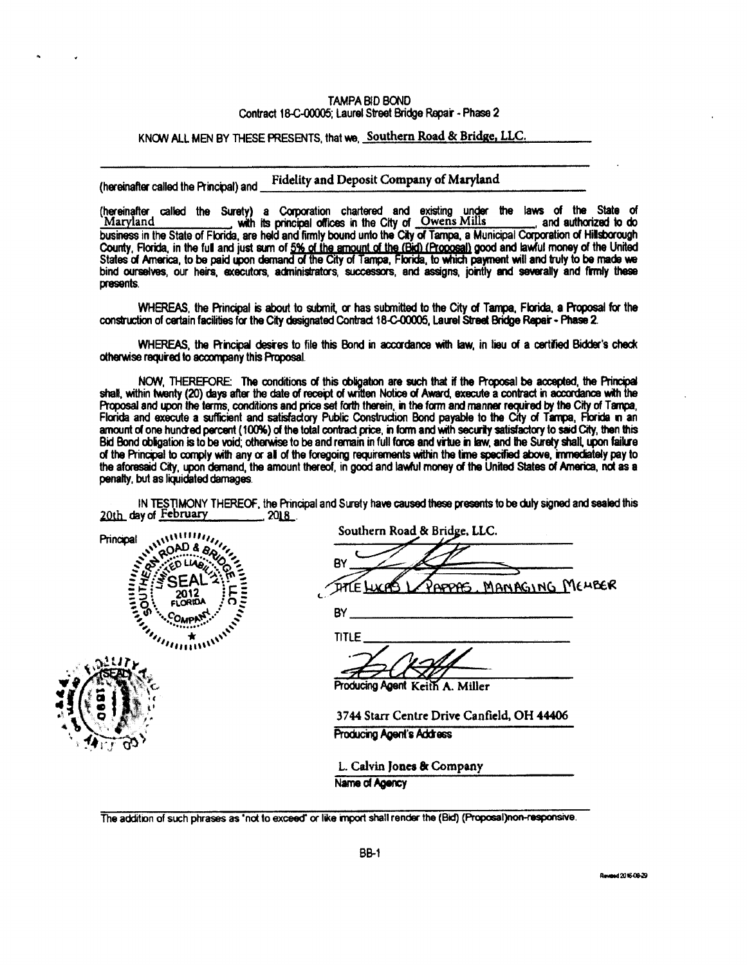#### **TAMPA BID BOND** Contract 18-C-00005: Laurel Street Bridge Repair - Phase 2

## KNOW ALL MEN BY THESE PRESENTS, that we, Southern Road & Bridge, LLC.

Fidelity and Deposit Company of Maryland (hereinafter called the Principal) and

(hereinafter called the Surety) a Corporation chartered and existing under the laws of the State of Maryland with its principal offices in the City of Owens Mills and authorized to do business in the State of Florida, are held and firmly bound unto the City of Tampa, a Municipal Corporation of Hillsborough County, Florida, in the full and just sum of 5% of the amount of the (Bid) (Proposal) good and lawful money of the United<br>States of America, to be paid upon demand of the City of Tampa, Florida, to which payment will and t bind ourselves, our heirs, executors, administrators, successors, and assigns, jointly and severally and firmly these presents.

WHEREAS, the Principal is about to submit, or has submitted to the City of Tampa, Florida, a Proposal for the construction of certain facilities for the City designated Contract 18-C-00005, Laurel Street Bridge Repair - Phase 2.

WHEREAS, the Principal desires to file this Bond in accordance with law, in lieu of a certified Bidder's check otherwise required to accompany this Proposal.

NOW, THEREFORE: The conditions of this obligation are such that if the Proposal be accepted, the Principal shall, within twenty (20) days after the date of receipt of written Notice of Award, execute a contract in accordance with the Proposal and upon the terms, conditions and price set forth therein, in the form and manner required by the City of Tampa, Florida and execute a sufficient and satisfactory Public Construction Bond payable to the City of T amount of one hundred percent (100%) of the total contract price, in form and with security satisfactory to said City, then this Bid Bond obligation is to be void; otherwise to be and remain in full force and virtue in law, and the Surety shall, upon failure of the Principal to comply with any or all of the foregoing requirements within the time specified above, immediately pay to the aforesaid City, upon demand, the amount thereof, in good and lawful money of the United States of America, not as a penalty, but as liquidated damages.

IN TESTIMONY THEREOF, the Principal and Surety have caused these presents to be duly signed and sealed this 20th day of February  $2018$ 

|                           | Name of Agency                             |
|---------------------------|--------------------------------------------|
|                           | L. Calvin Jones & Company                  |
|                           | <b>Producing Agent's Address</b>           |
| eÅ,                       | 3744 Starr Centre Drive Canfield, OH 44406 |
|                           | Producing Agent Keith A. Miller            |
| 7771111                   | <b>TITLE</b>                               |
| <b>OMPAY</b>              | BY                                         |
| <b>FLORIDA</b>            | PAPPAS, MANAGING MEHBER<br>TLE LUCAS       |
|                           | <b>BY</b>                                  |
| Principal<br><b>SISTE</b> | Southern Road & Bridge, LLC.               |

The addition of such phrases as "not to exceed" or like import shall render the (Bid) (Proposal)non-responsive.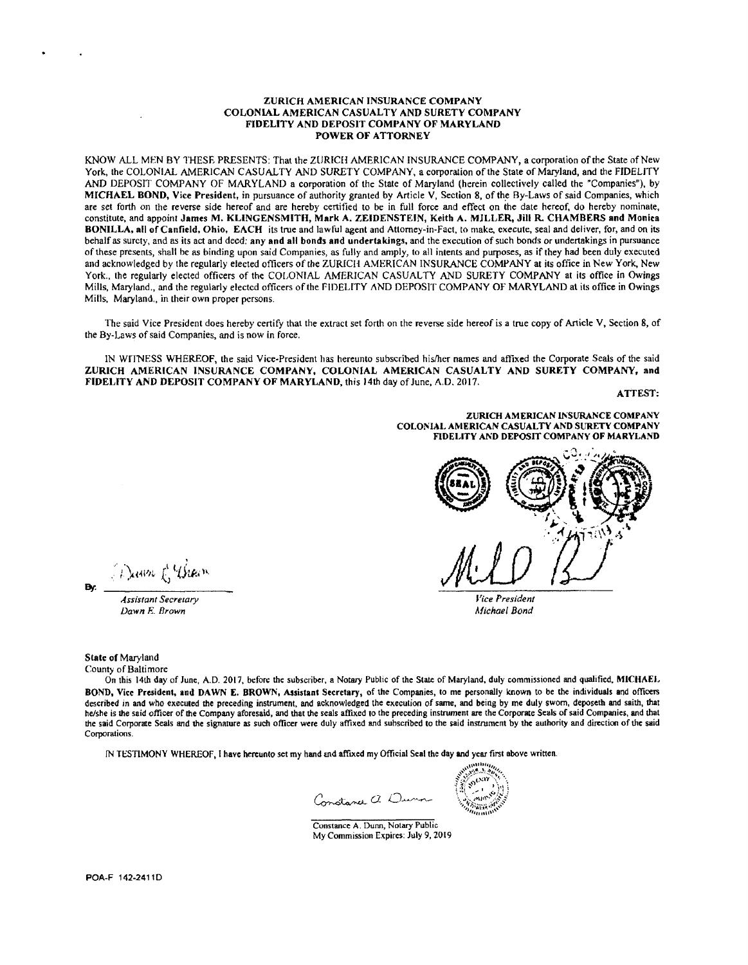#### ZURICH AMERICAN INSURANCE COMPANY COLONIAL AMERICAN CASUALTY AND SURETY COMPANY FIDELITY AND DEPOSIT COMPANY OF MARYLAND **POWER OF ATTORNEY**

KNOW ALL MEN BY THESE PRESENTS: That the ZURICH AMERICAN INSURANCE COMPANY, a corporation of the State of New York, the COLONIAL AMERICAN CASUALTY AND SURETY COMPANY, a corporation of the State of Maryland, and the FIDELITY AND DEPOSIT COMPANY OF MARYLAND a corporation of the State of Maryland (herein collectively called the "Companies"), by MICHAEL BOND, Vice President, in pursuance of authority granted by Article V, Section 8, of the By-Laws of said Companies, which are set forth on the reverse side hereof and are hereby certified to be in full force and effect on the date hereof, do hereby nominate, constitute, and appoint James M. KLINGENSMITH, Mark A. ZEIDENSTEIN, Keith A. MILLER, Jill R. CHAMBERS and Monica BONILLA, all of Canfield, Ohio, EACH its true and lawful agent and Attorney-in-Fact, to make, execute, seal and deliver, for, and on its behalf as surety, and as its act and deed: any and all bonds and undertakings, and the exccution of such bonds or undertakings in pursuance of these presents, shall be as binding upon said Companies, as fully and amply, to all intents and purposes, as if they had been duly executed and acknowledged by the regularly elected officers of the ZURICH AMERICAN INSURANCE COMPANY at its office in New York, New York., the regularly elected officers of the COLONIAL AMERICAN CASUALTY AND SURETY COMPANY at its office in Owings Mills, Maryland., and the regularly elected officers of the FIDELITY AND DEPOSIT COMPANY OF MARYLAND at its office in Owings Mills, Maryland., in their own proper persons.

The said Vice President does hereby certify that the extract set forth on the reverse side hereof is a true copy of Article V, Section 8, of the By-Laws of said Companies, and is now in force.

IN WITNESS WHEREOF, the said Vice-President has hereunto subscribed his/her names and affixed the Corporate Seals of the said ZURICH AMERICAN INSURANCE COMPANY, COLONIAL AMERICAN CASUALTY AND SURETY COMPANY, and FIDELITY AND DEPOSIT COMPANY OF MARYLAND, this 14th day of June, A.D. 2017.

ATTEST:

ZURICH AMERICAN INSURANCE COMPANY COLONIAL AMERICAN CASUALTY AND SURETY COMPANY FIDELITY AND DEPOSIT COMPANY OF MARYLAND



Michael Bond

State of Maryland County of Baltimore

Dunn & Usean

**Assistant Secretary** 

Dawn E. Brown

On this 14th day of June, A.D. 2017, before the subscriber, a Notary Public of the State of Maryland, duly commissioned and qualified, MICHAEL BOND, Vice President, and DAWN E. BROWN, Assistant Secretary, of the Companies, to me personally known to be the individuals and officers described in and who executed the preceding instrument, and acknowledged the execution of same, and being by me duly swom, deposeth and saith, that he/she is the said officer of the Company aforesaid, and that the seals affixed to the preceding instrument are the Corporate Seals of said Companies, and that the said Corporate Seals and the signature as such officer were duly affixed and subscribed to the said instrument by the authority and direction of the said Corporations

IN TESTIMONY WHEREOF, I have hereunto set my hand and affixed my Official Seal the day and year first above written.

Constance a Dunn

Constance A. Dunn, Notary Public My Commission Expires: July 9, 2019

POA-F 142-2411D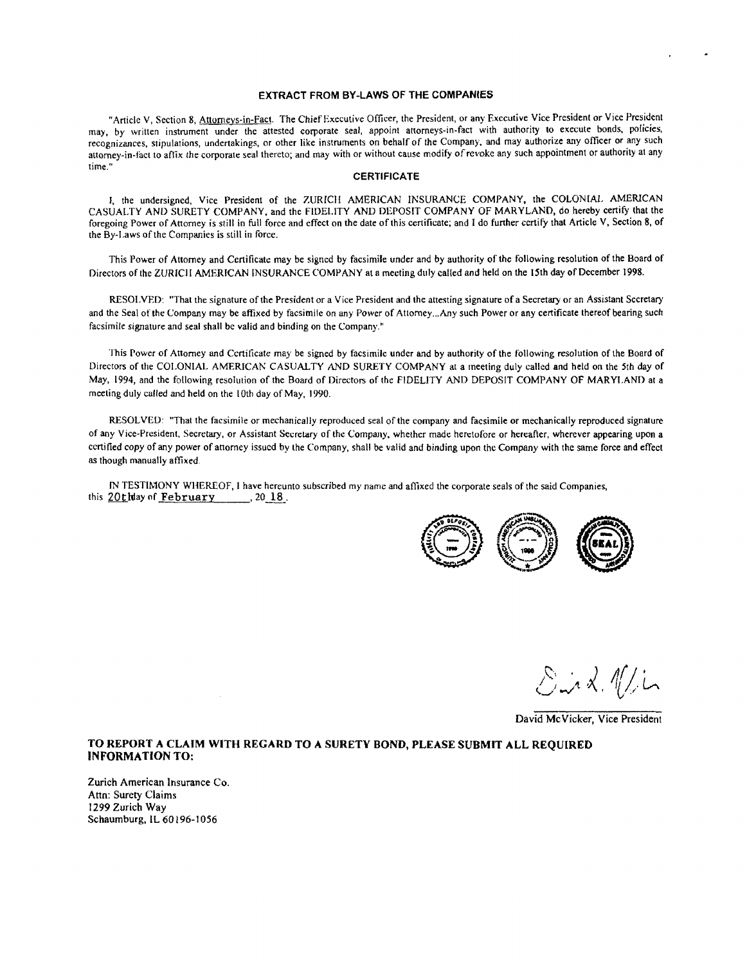### **EXTRACT FROM BY-LAWS OF THE COMPANIES**

"Article V, Section 8, Attorneys-in-Fact. The Chief Executive Officer, the President, or any Executive Vice President or Vice President may, by written instrument under the attested corporate seal, appoint attorneys-in-fact with authority to execute bonds, policies, recognizances, stipulations, undertakings, or other like instruments on behalf of the Company, and may authorize any officer or any such attorney-in-fact to affix the corporate seal thereto; and may with or without cause modify of revoke any such appointment or authority at any time."

#### **CERTIFICATE**

I, the undersigned, Vice President of the ZURICH AMERICAN INSURANCE COMPANY, the COLONIAL AMERICAN CASUALTY AND SURETY COMPANY, and the FIDELITY AND DEPOSIT COMPANY OF MARYLAND, do hereby certify that the foregoing Power of Attorney is still in full force and effect on the date of this certificate; and I do further certify that Article V, Section 8, of the By-Laws of the Companies is still in force.

This Power of Attorney and Certificate may be signed by facsimile under and by authority of the following resolution of the Board of Directors of the ZURICH AMERICAN INSURANCE COMPANY at a meeting duly called and held on the 15th day of December 1998.

RESOLVED: "That the signature of the President or a Vice President and the attesting signature of a Secretary or an Assistant Secretary and the Seal of the Company may be affixed by facsimile on any Power of Attorney...Any such Power or any certificate thereof bearing such facsimile signature and seal shall be valid and binding on the Company."

This Power of Attorney and Certificate may be signed by facsimile under and by authority of the following resolution of the Board of Directors of the COLONIAL AMERICAN CASUALTY AND SURETY COMPANY at a meeting duly called and held on the 5th day of May, 1994, and the following resolution of the Board of Directors of the FIDELITY AND DEPOSIT COMPANY OF MARYLAND at a meeting duly called and held on the 10th day of May, 1990.

RESOLVED: "That the facsimile or mechanically reproduced seal of the company and facsimile or mechanically reproduced signature of any Vice-President, Secretary, or Assistant Secretary of the Company, whether made heretofore or hereafter, wherever appearing upon a certified copy of any power of attorney issued by the Company, shall be valid and binding upon the Company with the same force and effect as though manually affixed.

IN TESTIMONY WHEREOF, I have hereunto subscribed my name and affixed the corporate seals of the said Companies, this 20thay of February . 20 18.



Eind Nin

David McVicker, Vice President

#### TO REPORT A CLAIM WITH REGARD TO A SURETY BOND, PLEASE SUBMIT ALL REQUIRED **INFORMATION TO:**

Zurich American Insurance Co. Attn: Surety Claims 1299 Zurich Way Schaumburg, IL 60196-1056

 $\cdot$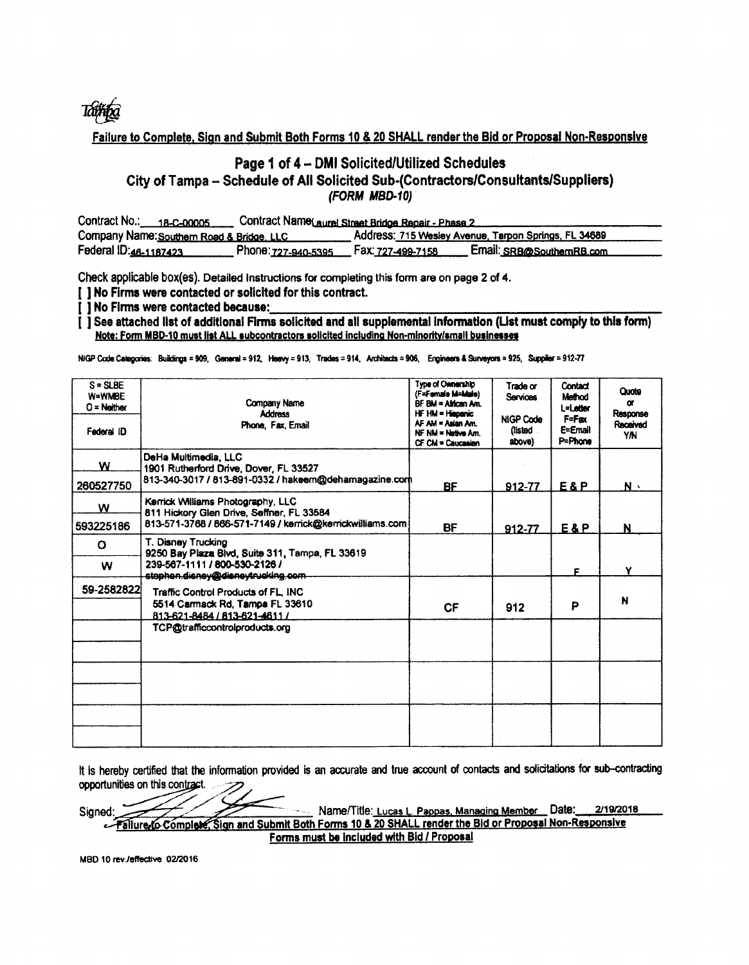Failure to Complete, Sign and Submit Both Forms 10 & 20 SHALL render the Bid or Proposal Non-Responsive

## Page 1 of 4 - DMI Solicited/Utilized Schedules City of Tampa - Schedule of All Solicited Sub-(Contractors/Consultants/Suppliers) (FORM MBD-10)

| Contract No.: $18 - C - 00005$            | Contract Name(aurel Street Bridge Repair - Phase 2 |                   |                                                      |  |
|-------------------------------------------|----------------------------------------------------|-------------------|------------------------------------------------------|--|
| Company Name: Southern Road & Bridge, LLC |                                                    |                   | Address: 715 Wesley Avenue, Tarpon Springs, FL 34689 |  |
| Federal ID:46-1187423                     | Phone: 727-940-5395                                | Fax: 727-499-7158 | Email: SRB@SouthernRB.com                            |  |

Check applicable box(es). Detailed Instructions for completing this form are on page 2 of 4.

[ ] No Firms were contacted or solicited for this contract.

[ ] No Firms were contacted because:

[] See attached list of additional Firms solicited and all supplemental information (List must comply to this form) Note: Form MBD-10 must list ALL subcontractors solicited including Non-minority/small businesses

NIGP Code Categories: Buildings = 909, General = 912, Heevy = 913, Trades = 914, Architects = 906, Engineers & Surveyors = 925, Supplier = 912-77

| $S = S LBE$<br>W=WMBE<br>$O =$ Neither<br>Federal ID | Company Name<br><b>Address</b><br>Phone, Fax, Email                                                     | Type of Ownership<br>(F=Female M=Male)<br>BF BM = Airican Am.<br>HF HM = Hispanic<br>AF AM = Asian Am.<br>NF NM = Native Am.<br>CF CM = Caucasian | Trade or<br><b>Services</b><br><b>NIGP Code</b><br>(listed<br>above) | Contact<br>Mathod<br><b>L=Letter</b><br>F=Fax<br>E=Email<br>P=Phone | Quote<br>$\alpha$<br>Response<br>Received<br>YN |
|------------------------------------------------------|---------------------------------------------------------------------------------------------------------|---------------------------------------------------------------------------------------------------------------------------------------------------|----------------------------------------------------------------------|---------------------------------------------------------------------|-------------------------------------------------|
| w                                                    | DeHa Multimedia, LLC<br>1901 Rutherford Drive, Dover, FL 33527                                          |                                                                                                                                                   |                                                                      |                                                                     |                                                 |
| 260527750                                            | 813-340-3017 / 813-891-0332 / hakeem@dehamagazine.com                                                   | <b>BF</b>                                                                                                                                         | 912-77                                                               | E&P                                                                 | N .                                             |
| W                                                    | Kerrick Williams Photography, LLC<br>811 Hickory Glen Drive, Seffner, FL 33584                          |                                                                                                                                                   |                                                                      |                                                                     |                                                 |
| 593225186                                            | 813-571-3768 / 866-571-7149 / kerrick@kerrickwilliams.com                                               | <b>BF</b>                                                                                                                                         | 912-77                                                               | E&P                                                                 | N                                               |
| $\mathbf{o}$                                         | T. Disney Trucking<br>9250 Bay Plaza Blvd, Suite 311, Tampa, FL 33619                                   |                                                                                                                                                   |                                                                      |                                                                     |                                                 |
| W                                                    | 239-567-1111 / 800-530-2126 /<br>staphen.disney@disneytrucking.com                                      |                                                                                                                                                   |                                                                      | F                                                                   | ٧                                               |
| 59-2582822                                           | Traffic Control Products of FL, INC<br>5514 Carmack Rd, Tampa FL 33610<br>813-621-8484 / 813-621-4611 / | <b>CF</b>                                                                                                                                         | 912                                                                  | P                                                                   | N                                               |
|                                                      | TCP@trafficcontrolproducts.org                                                                          |                                                                                                                                                   |                                                                      |                                                                     |                                                 |
|                                                      |                                                                                                         |                                                                                                                                                   |                                                                      |                                                                     |                                                 |
|                                                      |                                                                                                         |                                                                                                                                                   |                                                                      |                                                                     |                                                 |

It is hereby certified that the information provided is an accurate and true account of contacts and solicitations for sub-contracting opportunities on this contract.

2/19/2018

Name/Title: Lucas L. Pappas, Managing Member Date: Signed: Failure to Complete, Sign and Submit Both Forms 10 & 20 SHALL render the Bid or Proposal Non-Responsive Forms must be included with Bid / Proposal

MBD 10 rev./effective 02/2016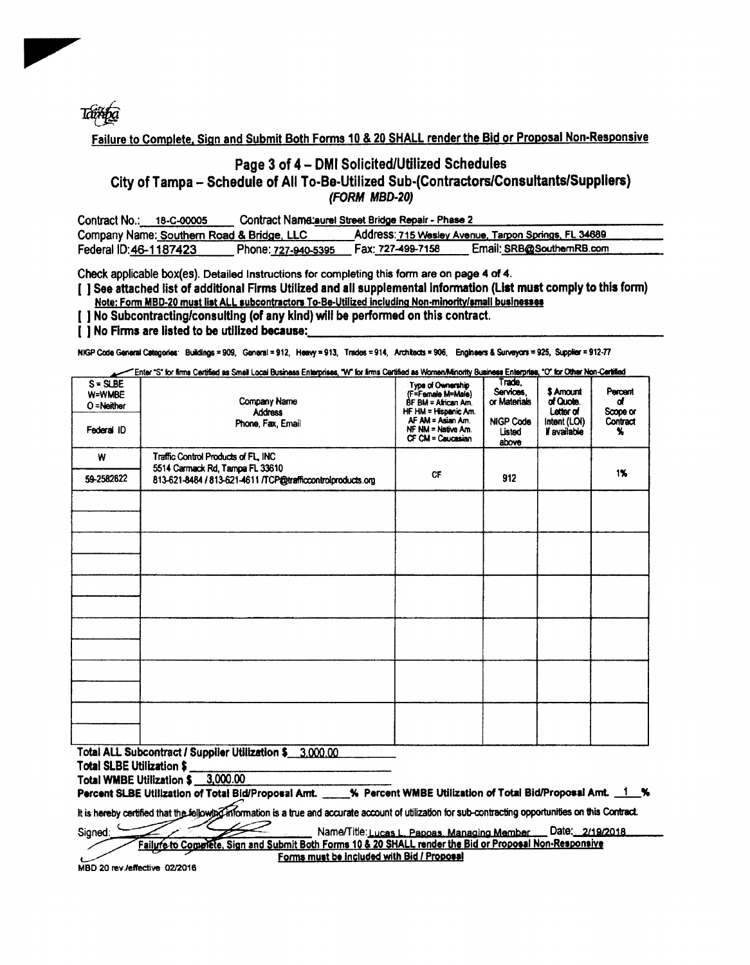

Failure to Complete, Sign and Submit Both Forms 10 & 20 SHALL render the Bid or Proposal Non-Responsive

## Page 3 of 4 - DMI Solicited/Utilized Schedules City of Tampa - Schedule of All To-Be-Utilized Sub-(Contractors/Consultants/Suppliers) (FORM MBD-20)

| Contract No.: 18-C-00005                  | Contract Name:aurel Street Bridge Repair - Phase 2 |                   |                                                      |
|-------------------------------------------|----------------------------------------------------|-------------------|------------------------------------------------------|
| Company Name: Southern Road & Bridge, LLC |                                                    |                   | Address: 715 Wesley Avenue, Tarpon Springs, FL 34689 |
| Federal ID: 46-1187423                    | Phone: 727-940-5395                                | Fax: 727-499-7158 | Email: SRB@SouthernRB.com                            |

Check applicable box(es). Detailed Instructions for completing this form are on page 4 of 4.

[ ] See attached list of additional Firms Utilized and all supplemental information (List must comply to this form) Note: Form MBD-20 must list ALL subcontractors To-Be-Utilized including Non-minority/small businesses

- [ ] No Subcontracting/consulting (of any kind) will be performed on this contract.
- [ ] No Firms are listed to be utilized because:

NIGP Code General Categories: Buildings = 909, General = 912, Heavy = 913, Trades = 914, Architects = 906, Engineers & Surveyors = 925, Supplier = 912-77

Enter "S" for firms Certified as Small Local Business Enterprises, "W" for firms Certified as Women/Minority Business Enterprise, "O" for Other Non-Certified

| $S = S$<br>W=WMBE<br>$O =$ Neither<br>Federal ID | Company Name<br><b>Address</b><br>Phone, Fax, Email                    | Type of Ownership<br>(F=Fernale M=Male)<br>BF BM = African Am.<br>HF HM = Hispanic Am.<br>AF AM = Asian Am.<br>NF NM = Native Am.<br>CF CM = Caucasian | Trade,<br>Services.<br>or Materials<br><b>NIGP Code</b><br>Listed<br>above | \$ Amount<br>of Quote.<br>Letter of<br>Intent (LOI)<br>if available | Percent<br>ď<br>Scope or<br>Contract<br>x |
|--------------------------------------------------|------------------------------------------------------------------------|--------------------------------------------------------------------------------------------------------------------------------------------------------|----------------------------------------------------------------------------|---------------------------------------------------------------------|-------------------------------------------|
| W                                                | Traffic Control Products of FL, INC<br>5514 Carmack Rd, Tampa FL 33610 |                                                                                                                                                        |                                                                            |                                                                     |                                           |
| 59-2582822                                       | 813-621-8484 / 813-621-4611 /TCP@trafficcontrolproducts.org            | <b>CF</b>                                                                                                                                              | 912                                                                        |                                                                     | $1\%$                                     |
|                                                  |                                                                        |                                                                                                                                                        |                                                                            |                                                                     |                                           |
|                                                  |                                                                        |                                                                                                                                                        |                                                                            |                                                                     |                                           |
|                                                  |                                                                        |                                                                                                                                                        |                                                                            |                                                                     |                                           |
|                                                  |                                                                        |                                                                                                                                                        |                                                                            |                                                                     |                                           |
|                                                  |                                                                        |                                                                                                                                                        |                                                                            |                                                                     |                                           |
|                                                  |                                                                        |                                                                                                                                                        |                                                                            |                                                                     |                                           |
|                                                  |                                                                        |                                                                                                                                                        |                                                                            |                                                                     |                                           |
|                                                  |                                                                        |                                                                                                                                                        |                                                                            |                                                                     |                                           |
|                                                  |                                                                        |                                                                                                                                                        |                                                                            |                                                                     |                                           |
|                                                  |                                                                        |                                                                                                                                                        |                                                                            |                                                                     |                                           |
|                                                  |                                                                        |                                                                                                                                                        |                                                                            |                                                                     |                                           |
|                                                  |                                                                        |                                                                                                                                                        |                                                                            |                                                                     |                                           |

Total ALL Subcontract / Supplier Utilization \$ 3.000.00

**Total SLBE Utilization \$** 

Total WMBE Utilization \$ 3,000.00

Percent SLBE Utilization of Total Bid/Proposal Amt. \_\_\_\_\_\_% Percent WMBE Utilization of Total Bid/Proposal Amt. 1 \_%

It is hereby certified that the following information is a true and accurate account of utilization for sub-contracting opportunities on this Contract.

Signed: Name/Title: Lucas L. Papoas, Managing Member Date: 2/19/2018 Failufe to Complete, Sign and Submit Both Forms 10 & 20 SHALL render the Bid or Proposal Non-Responsive Forms must be included with Bid / Proposal

MBD 20 rev./effective 02/2016